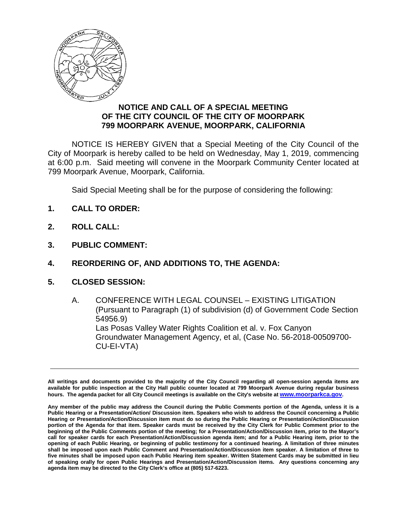

## **NOTICE AND CALL OF A SPECIAL MEETING OF THE CITY COUNCIL OF THE CITY OF MOORPARK 799 MOORPARK AVENUE, MOORPARK, CALIFORNIA**

NOTICE IS HEREBY GIVEN that a Special Meeting of the City Council of the City of Moorpark is hereby called to be held on Wednesday, May 1, 2019, commencing at 6:00 p.m. Said meeting will convene in the Moorpark Community Center located at 799 Moorpark Avenue, Moorpark, California.

Said Special Meeting shall be for the purpose of considering the following:

- **1. CALL TO ORDER:**
- **2. ROLL CALL:**
- **3. PUBLIC COMMENT:**
- **4. REORDERING OF, AND ADDITIONS TO, THE AGENDA:**
- **5. CLOSED SESSION:**
	- A. CONFERENCE WITH LEGAL COUNSEL EXISTING LITIGATION (Pursuant to Paragraph (1) of subdivision (d) of Government Code Section 54956.9) Las Posas Valley Water Rights Coalition et al. v. Fox Canyon Groundwater Management Agency, et al, (Case No. 56-2018-00509700- CU-EI-VTA)

**All writings and documents provided to the majority of the City Council regarding all open-session agenda items are available for public inspection at the City Hall public counter located at 799 Moorpark Avenue during regular business hours. The agenda packet for all City Council meetings is available on the City's website a[t www.moorparkca.gov.](http://www.moorparkca.gov/)**

**Any member of the public may address the Council during the Public Comments portion of the Agenda, unless it is a Public Hearing or a Presentation/Action/ Discussion item. Speakers who wish to address the Council concerning a Public Hearing or Presentation/Action/Discussion item must do so during the Public Hearing or Presentation/Action/Discussion portion of the Agenda for that item. Speaker cards must be received by the City Clerk for Public Comment prior to the beginning of the Public Comments portion of the meeting; for a Presentation/Action/Discussion item, prior to the Mayor's call for speaker cards for each Presentation/Action/Discussion agenda item; and for a Public Hearing item, prior to the opening of each Public Hearing, or beginning of public testimony for a continued hearing. A limitation of three minutes shall be imposed upon each Public Comment and Presentation/Action/Discussion item speaker. A limitation of three to five minutes shall be imposed upon each Public Hearing item speaker. Written Statement Cards may be submitted in lieu of speaking orally for open Public Hearings and Presentation/Action/Discussion items. Any questions concerning any agenda item may be directed to the City Clerk's office at (805) 517-6223.**